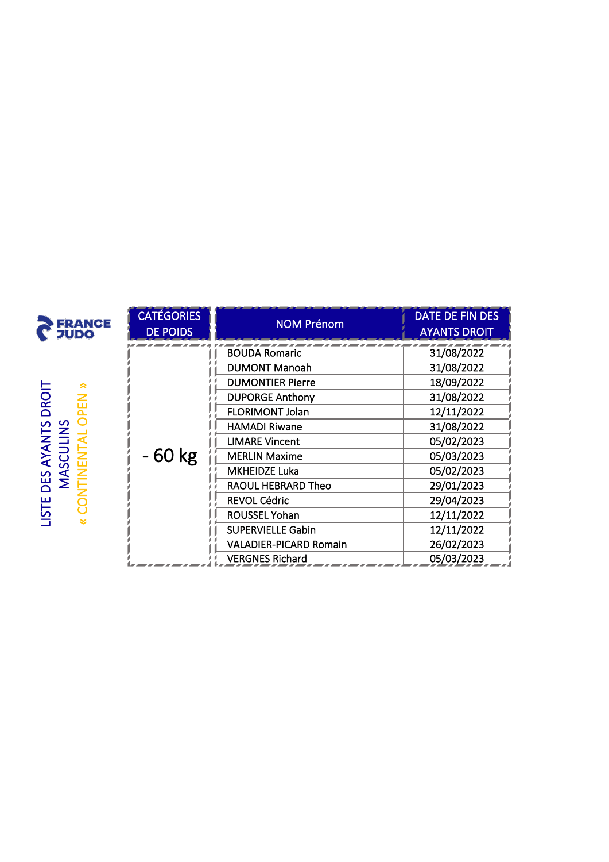| <b>FRANCE</b><br><b>JUDO</b>             | <b>CATÉGORIES</b><br><b>DE POIDS</b> | <b>NOM Prénom</b>             | DATE DE FIN DES<br><b>AYANTS DROIT</b>                                                         |
|------------------------------------------|--------------------------------------|-------------------------------|------------------------------------------------------------------------------------------------|
|                                          |                                      | <b>BOUDA Romaric</b>          | 31/08/2022                                                                                     |
|                                          |                                      | <b>DUMONT Manoah</b>          | 31/08/2022                                                                                     |
| à                                        |                                      | <b>DUMONTIER Pierre</b>       | 18/09/2022                                                                                     |
| <b>DROIT</b><br>곥                        |                                      | <b>DUPORGE Anthony</b>        | 31/08/2022                                                                                     |
|                                          |                                      | <b>FLORIMONT Jolan</b>        | 12/11/2022<br>31/08/2022<br>05/02/2023<br>05/03/2023<br>05/02/2023<br>29/01/2023<br>29/04/2023 |
| DES AYANTS I<br>MASCULINS<br><b>ISTE</b> |                                      | <b>HAMADI Riwane</b>          |                                                                                                |
|                                          |                                      | <b>LIMARE Vincent</b>         |                                                                                                |
|                                          | - 60 kg                              | <b>MERLIN Maxime</b>          |                                                                                                |
|                                          |                                      | <b>MKHEIDZE Luka</b>          |                                                                                                |
|                                          |                                      | RAOUL HEBRARD Theo            |                                                                                                |
|                                          |                                      | <b>REVOL Cédric</b>           |                                                                                                |
|                                          |                                      | <b>ROUSSEL Yohan</b>          | 12/11/2022                                                                                     |
|                                          |                                      | <b>SUPERVIELLE Gabin</b>      | 12/11/2022                                                                                     |
|                                          |                                      | <b>VALADIER-PICARD Romain</b> | 26/02/2023                                                                                     |
|                                          |                                      | <b>VERGNES Richard</b>        | 05/03/2023                                                                                     |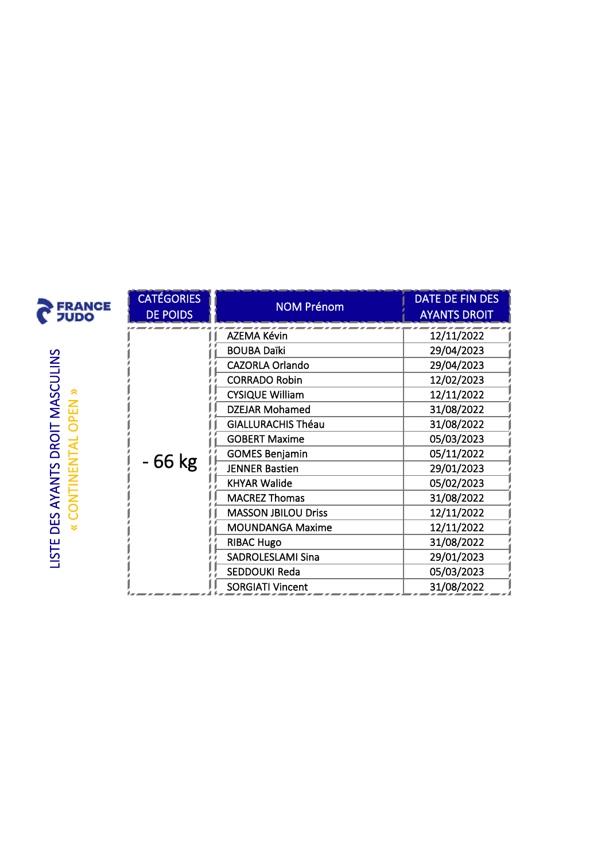| <b>FRANCE</b><br><b>JUDO</b> | <b>CATÉGORIES</b><br><b>DE POIDS</b> | <b>NOM Prénom</b>          | DATE DE FIN DES<br><b>AYANTS DROIT</b>                                                                                                                                             |
|------------------------------|--------------------------------------|----------------------------|------------------------------------------------------------------------------------------------------------------------------------------------------------------------------------|
|                              |                                      | <b>AZEMA Kévin</b>         | 12/11/2022                                                                                                                                                                         |
|                              |                                      | <b>BOUBA Daïki</b>         | 29/04/2023                                                                                                                                                                         |
|                              |                                      | <b>CAZORLA Orlando</b>     | 29/04/2023<br>12/02/2023<br>12/11/2022<br>31/08/2022<br>31/08/2022<br>05/03/2023<br>05/11/2022<br>29/01/2023<br>05/02/2023<br>31/08/2022<br>12/11/2022<br>12/11/2022<br>31/08/2022 |
|                              |                                      | <b>CORRADO Robin</b>       |                                                                                                                                                                                    |
|                              |                                      | <b>CYSIQUE William</b>     |                                                                                                                                                                                    |
| MASCULINS<br><b>NBO</b>      |                                      | <b>DZEJAR Mohamed</b>      |                                                                                                                                                                                    |
|                              |                                      | <b>GIALLURACHIS Théau</b>  |                                                                                                                                                                                    |
| DROIT                        |                                      | <b>GOBERT Maxime</b>       |                                                                                                                                                                                    |
|                              |                                      | <b>GOMES Benjamin</b>      |                                                                                                                                                                                    |
|                              | - 66 kg                              | <b>JENNER Bastien</b>      |                                                                                                                                                                                    |
|                              |                                      | <b>KHYAR Walide</b>        |                                                                                                                                                                                    |
|                              |                                      | <b>MACREZ Thomas</b>       |                                                                                                                                                                                    |
| <b>DES AYANTS</b><br>LISTE   |                                      | <b>MASSON JBILOU Driss</b> |                                                                                                                                                                                    |
|                              |                                      | <b>MOUNDANGA Maxime</b>    |                                                                                                                                                                                    |
|                              |                                      | <b>RIBAC Hugo</b>          |                                                                                                                                                                                    |
|                              |                                      | <b>SADROLESLAMI Sina</b>   | 29/01/2023                                                                                                                                                                         |
|                              |                                      | SEDDOUKI Reda              | 05/03/2023                                                                                                                                                                         |
|                              |                                      | <b>SORGIATI Vincent</b>    | 31/08/2022                                                                                                                                                                         |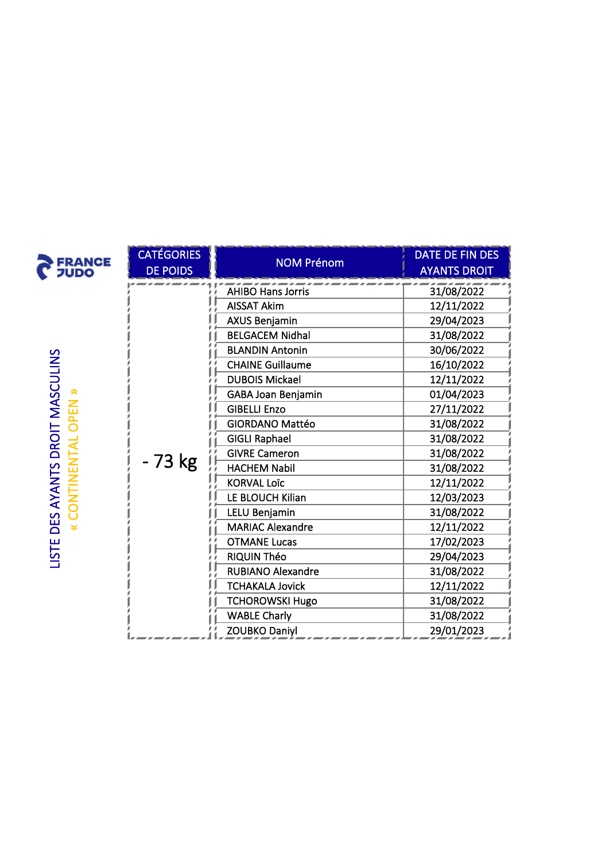|                                                    | <b>CATÉGORIES</b> |                         | DATE DE FIN DES                                                                                                                                        |  |
|----------------------------------------------------|-------------------|-------------------------|--------------------------------------------------------------------------------------------------------------------------------------------------------|--|
| <b>FRANCE</b><br><b>JUDO</b>                       | <b>DE POIDS</b>   | <b>NOM Prénom</b>       | <b>AYANTS DROIT</b>                                                                                                                                    |  |
|                                                    |                   | AHIBO Hans Jorris       | 31/08/2022                                                                                                                                             |  |
|                                                    |                   | <b>AISSAT Akim</b>      | 12/11/2022                                                                                                                                             |  |
|                                                    |                   | <b>AXUS Benjamin</b>    | 29/04/2023                                                                                                                                             |  |
|                                                    |                   | <b>BELGACEM Nidhal</b>  | 31/08/2022                                                                                                                                             |  |
|                                                    |                   | <b>BLANDIN Antonin</b>  | 30/06/2022                                                                                                                                             |  |
|                                                    |                   | <b>CHAINE Guillaume</b> | 16/10/2022                                                                                                                                             |  |
|                                                    |                   | <b>DUBOIS Mickael</b>   | 12/11/2022                                                                                                                                             |  |
|                                                    |                   | GABA Joan Benjamin      | 01/04/2023                                                                                                                                             |  |
| OPEN                                               |                   | <b>GIBELLI Enzo</b>     | 27/11/2022                                                                                                                                             |  |
|                                                    |                   | <b>GIORDANO Mattéo</b>  | 31/08/2022                                                                                                                                             |  |
|                                                    |                   | <b>GIGLI Raphael</b>    | 31/08/2022                                                                                                                                             |  |
| DES AYANTS DROIT MASCULINS<br>« CONTINENTAL OPEN » | - 73 kg           | <b>GIVRE Cameron</b>    | 31/08/2022                                                                                                                                             |  |
|                                                    |                   | <b>HACHEM Nabil</b>     | 31/08/2022                                                                                                                                             |  |
|                                                    |                   | <b>KORVAL Loïc</b>      | 12/11/2022<br>12/03/2023<br>31/08/2022<br>12/11/2022<br>17/02/2023<br>29/04/2023<br>31/08/2022<br>12/11/2022<br>31/08/2022<br>31/08/2022<br>29/01/2023 |  |
|                                                    |                   | LE BLOUCH Kilian        |                                                                                                                                                        |  |
|                                                    |                   | <b>LELU Benjamin</b>    |                                                                                                                                                        |  |
|                                                    |                   | <b>MARIAC Alexandre</b> |                                                                                                                                                        |  |
| LISTE                                              |                   | <b>OTMANE Lucas</b>     |                                                                                                                                                        |  |
|                                                    |                   |                         | RIQUIN Théo                                                                                                                                            |  |
|                                                    |                   |                         | <b>RUBIANO Alexandre</b>                                                                                                                               |  |
|                                                    |                   | <b>TCHAKALA Jovick</b>  |                                                                                                                                                        |  |
|                                                    |                   | <b>TCHOROWSKI Hugo</b>  |                                                                                                                                                        |  |
|                                                    |                   | <b>WABLE Charly</b>     |                                                                                                                                                        |  |
|                                                    |                   | <b>ZOUBKO Daniyl</b>    |                                                                                                                                                        |  |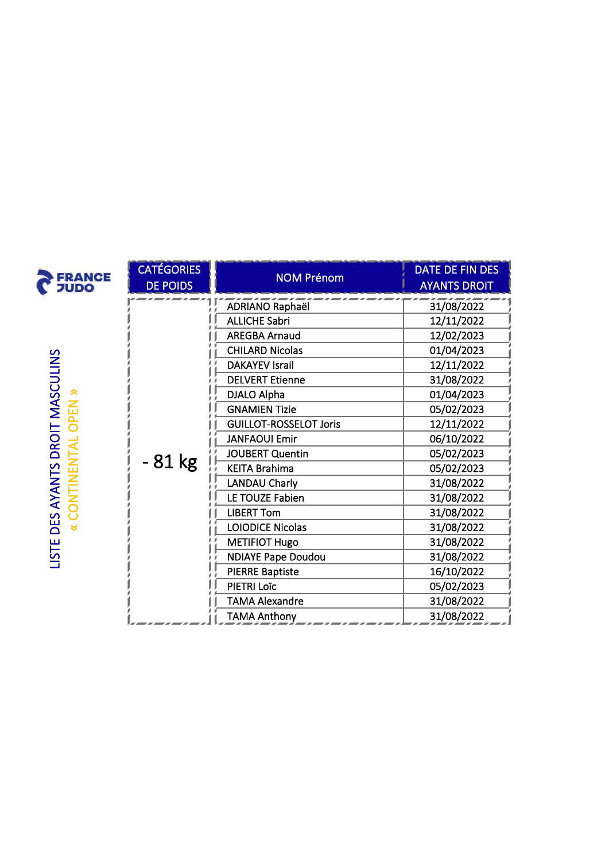| <b>FRANCE</b><br><b>JUDO</b>                                | <b>CATÉGORIES</b> | <b>NOM Prénom</b>             | DATE DE FIN DES                                                                                                                                                                                                                                          |
|-------------------------------------------------------------|-------------------|-------------------------------|----------------------------------------------------------------------------------------------------------------------------------------------------------------------------------------------------------------------------------------------------------|
|                                                             | <b>DE POIDS</b>   |                               | <b>AYANTS DROIT</b>                                                                                                                                                                                                                                      |
|                                                             |                   | <b>ADRIANO Raphaël</b>        | 31/08/2022                                                                                                                                                                                                                                               |
|                                                             |                   | <b>ALLICHE Sabri</b>          | 12/11/2022                                                                                                                                                                                                                                               |
|                                                             |                   | <b>AREGBA Arnaud</b>          | 12/02/2023                                                                                                                                                                                                                                               |
|                                                             |                   | <b>CHILARD Nicolas</b>        | 01/04/2023<br>12/11/2022<br>31/08/2022<br>01/04/2023<br>05/02/2023<br>12/11/2022<br>06/10/2022<br>05/02/2023<br>05/02/2023<br>31/08/2022<br>31/08/2022<br>31/08/2022<br>31/08/2022<br>31/08/2022<br>31/08/2022<br>16/10/2022<br>05/02/2023<br>31/08/2022 |
|                                                             |                   | <b>DAKAYEV Israil</b>         |                                                                                                                                                                                                                                                          |
|                                                             |                   | <b>DELVERT Etienne</b>        |                                                                                                                                                                                                                                                          |
|                                                             |                   | DJALO Alpha                   |                                                                                                                                                                                                                                                          |
|                                                             |                   | <b>GNAMIEN Tizie</b>          |                                                                                                                                                                                                                                                          |
|                                                             |                   | <b>GUILLOT-ROSSELOT Joris</b> |                                                                                                                                                                                                                                                          |
|                                                             |                   | <b>JANFAOUI Emir</b>          |                                                                                                                                                                                                                                                          |
|                                                             |                   | <b>JOUBERT Quentin</b>        |                                                                                                                                                                                                                                                          |
|                                                             | $-81$ kg          | <b>KEITA Brahima</b>          |                                                                                                                                                                                                                                                          |
|                                                             |                   | <b>LANDAU Charly</b>          |                                                                                                                                                                                                                                                          |
|                                                             |                   | LE TOUZE Fabien               |                                                                                                                                                                                                                                                          |
|                                                             |                   | <b>LIBERT Tom</b>             |                                                                                                                                                                                                                                                          |
| DES AYANTS DROIT MASCULINS<br>« CONTINENTAL OPEN »<br>LISTE |                   | LOIODICE Nicolas              |                                                                                                                                                                                                                                                          |
|                                                             |                   | <b>METIFIOT Hugo</b>          |                                                                                                                                                                                                                                                          |
|                                                             |                   | <b>NDIAYE Pape Doudou</b>     |                                                                                                                                                                                                                                                          |
|                                                             |                   | <b>PIERRE Baptiste</b>        |                                                                                                                                                                                                                                                          |
|                                                             |                   | PIETRI Loïc                   |                                                                                                                                                                                                                                                          |
|                                                             |                   | <b>TAMA Alexandre</b>         |                                                                                                                                                                                                                                                          |
|                                                             |                   | <b>TAMA Anthony</b>           | 31/08/2022                                                                                                                                                                                                                                               |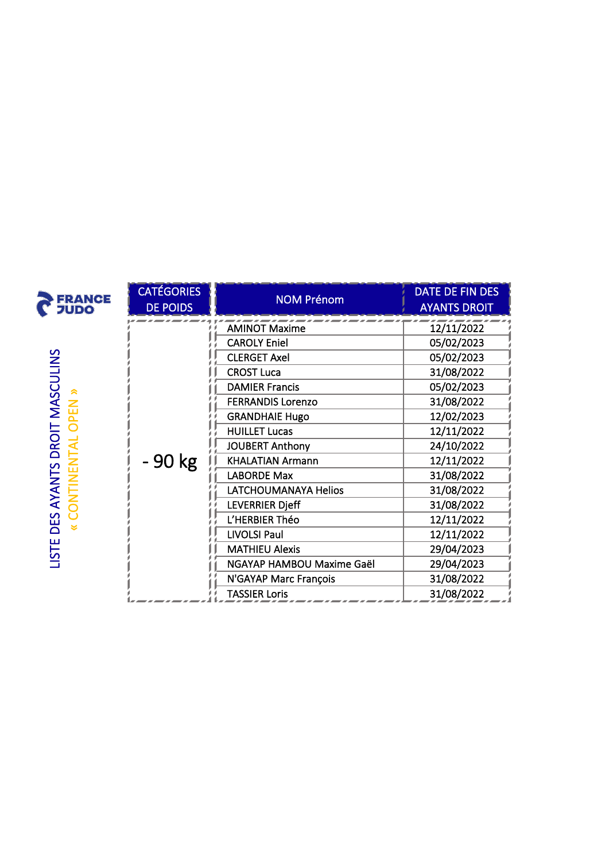| <b>FRANCE</b><br><b>JUDO</b>                                | <b>CATÉGORIES</b><br><b>DE POIDS</b> | <b>NOM Prénom</b>         | DATE DE FIN DES<br><b>AYANTS DROIT</b>                                                                                                                 |
|-------------------------------------------------------------|--------------------------------------|---------------------------|--------------------------------------------------------------------------------------------------------------------------------------------------------|
|                                                             |                                      | <b>AMINOT Maxime</b>      | 12/11/2022                                                                                                                                             |
|                                                             |                                      | <b>CAROLY Eniel</b>       | 05/02/2023                                                                                                                                             |
|                                                             |                                      | <b>CLERGET Axel</b>       | 05/02/2023                                                                                                                                             |
|                                                             |                                      | <b>CROST Luca</b>         | 31/08/2022                                                                                                                                             |
|                                                             |                                      | <b>DAMIER Francis</b>     | 05/02/2023                                                                                                                                             |
|                                                             |                                      | <b>FERRANDIS Lorenzo</b>  | 31/08/2022                                                                                                                                             |
|                                                             |                                      | <b>GRANDHAIE Hugo</b>     | 12/02/2023                                                                                                                                             |
|                                                             |                                      | <b>HUILLET Lucas</b>      | 12/11/2022<br>24/10/2022<br>12/11/2022<br>31/08/2022<br>31/08/2022<br>31/08/2022<br>12/11/2022<br>12/11/2022<br>29/04/2023<br>29/04/2023<br>31/08/2022 |
|                                                             |                                      | <b>JOUBERT Anthony</b>    |                                                                                                                                                        |
| DES AYANTS DROIT MASCULINS<br>« CONTINENTAL OPEN »<br>LISTE | - 90 kg                              | <b>KHALATIAN Armann</b>   |                                                                                                                                                        |
|                                                             |                                      | <b>LABORDE Max</b>        |                                                                                                                                                        |
|                                                             |                                      | LATCHOUMANAYA Helios      |                                                                                                                                                        |
|                                                             |                                      | <b>LEVERRIER Djeff</b>    |                                                                                                                                                        |
|                                                             |                                      | L'HERBIER Théo            |                                                                                                                                                        |
|                                                             |                                      | <b>LIVOLSI Paul</b>       |                                                                                                                                                        |
|                                                             |                                      | <b>MATHIEU Alexis</b>     |                                                                                                                                                        |
|                                                             |                                      | NGAYAP HAMBOU Maxime Gaël |                                                                                                                                                        |
|                                                             |                                      | N'GAYAP Marc François     |                                                                                                                                                        |
|                                                             |                                      | <b>TASSIER Loris</b>      | 31/08/2022                                                                                                                                             |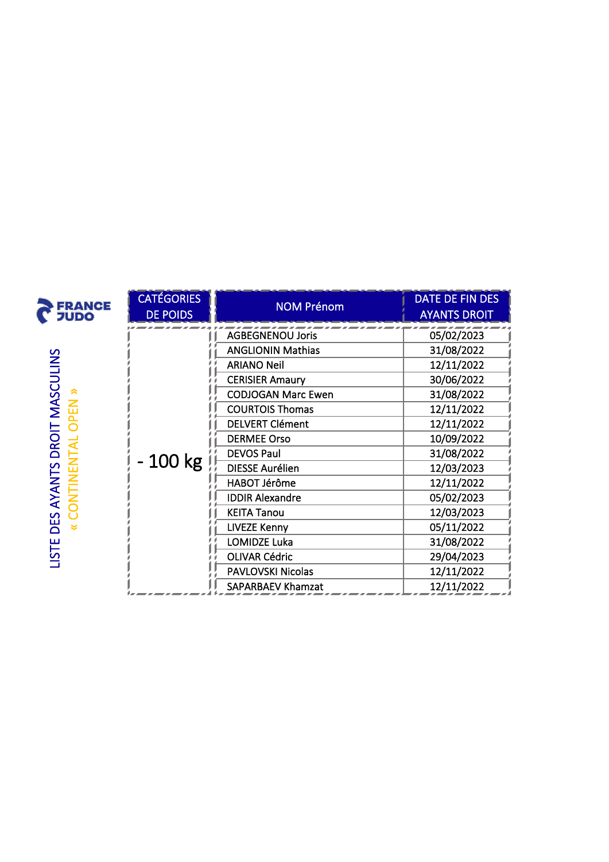| <b>FRANCE</b><br>フリDO                            | <b>CATÉGORIES</b><br><b>DE POIDS</b> | <b>NOM Prénom</b>         | <b>DATE DE FIN DES</b><br><b>AYANTS DROIT</b>                                                                                                                                                    |
|--------------------------------------------------|--------------------------------------|---------------------------|--------------------------------------------------------------------------------------------------------------------------------------------------------------------------------------------------|
|                                                  |                                      | <b>AGBEGNENOU Joris</b>   | 05/02/2023                                                                                                                                                                                       |
|                                                  |                                      | <b>ANGLIONIN Mathias</b>  | 31/08/2022                                                                                                                                                                                       |
|                                                  |                                      | <b>ARIANO Neil</b>        | 12/11/2022<br>30/06/2022<br>31/08/2022<br>12/11/2022<br>12/11/2022<br>10/09/2022<br>31/08/2022<br>12/03/2023<br>12/11/2022<br>05/02/2023<br>12/03/2023<br>05/11/2022<br>31/08/2022<br>29/04/2023 |
|                                                  |                                      | <b>CERISIER Amaury</b>    |                                                                                                                                                                                                  |
|                                                  |                                      | <b>CODJOGAN Marc Ewen</b> |                                                                                                                                                                                                  |
| PEN                                              |                                      | <b>COURTOIS Thomas</b>    |                                                                                                                                                                                                  |
|                                                  |                                      | <b>DELVERT Clément</b>    |                                                                                                                                                                                                  |
|                                                  |                                      | <b>DERMEE Orso</b>        |                                                                                                                                                                                                  |
| DROIT MASCULINS<br><b>NUNENTAI</b><br>DES AYANTS |                                      | <b>DEVOS Paul</b>         |                                                                                                                                                                                                  |
|                                                  | 100 kg                               | <b>DIESSE Aurélien</b>    |                                                                                                                                                                                                  |
|                                                  |                                      | HABOT Jérôme              |                                                                                                                                                                                                  |
|                                                  |                                      | <b>IDDIR Alexandre</b>    |                                                                                                                                                                                                  |
|                                                  |                                      | <b>KEITA Tanou</b>        |                                                                                                                                                                                                  |
| LISTE                                            |                                      | <b>LIVEZE Kenny</b>       |                                                                                                                                                                                                  |
|                                                  |                                      | LOMIDZE Luka              |                                                                                                                                                                                                  |
|                                                  |                                      | <b>OLIVAR Cédric</b>      |                                                                                                                                                                                                  |
|                                                  |                                      | PAVLOVSKI Nicolas         | 12/11/2022                                                                                                                                                                                       |
|                                                  |                                      | <b>SAPARBAEV Khamzat</b>  | 12/11/2022                                                                                                                                                                                       |